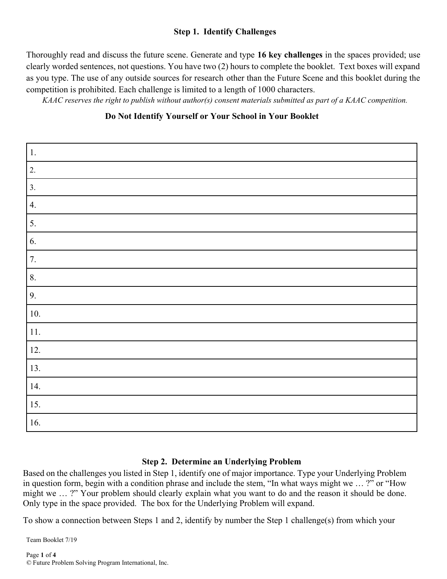## **Step 1. Identify Challenges**

Thoroughly read and discuss the future scene. Generate and type **16 key challenges** in the spaces provided; use clearly worded sentences, not questions. You have two (2) hours to complete the booklet. Text boxes will expand as you type. The use of any outside sources for research other than the Future Scene and this booklet during the competition is prohibited. Each challenge is limited to a length of 1000 characters.

 *KAAC reserves the right to publish without author(s) consent materials submitted as part of a KAAC competition.*

### **Do Not Identify Yourself or Your School in Your Booklet**

| $\boxed{1}$ .    |  |
|------------------|--|
| $\overline{c}$   |  |
| $\overline{3}$ . |  |
| 4.               |  |
| $\overline{5}$ . |  |
| 6.               |  |
| 7.               |  |
| 8.               |  |
| 9.               |  |
| 10.              |  |
| 11.              |  |
| 12.              |  |
| 13.              |  |
| 14.              |  |
| 15.              |  |
| 16.              |  |

# **Step 2. Determine an Underlying Problem**

Based on the challenges you listed in Step 1, identify one of major importance. Type your Underlying Problem in question form, begin with a condition phrase and include the stem, "In what ways might we … ?" or "How might we … ?" Your problem should clearly explain what you want to do and the reason it should be done. Only type in the space provided. The box for the Underlying Problem will expand.

To show a connection between Steps 1 and 2, identify by number the Step 1 challenge(s) from which your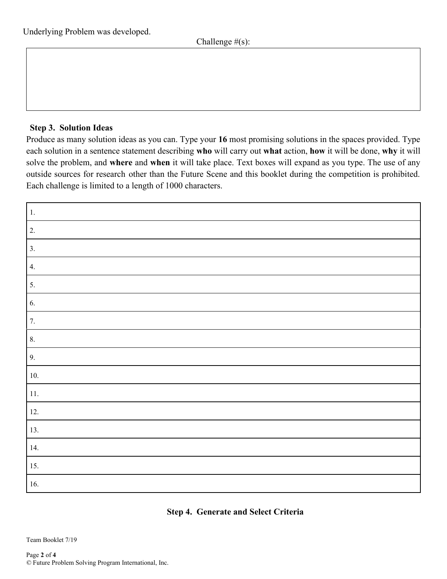### **Step 3. Solution Ideas**

Produce as many solution ideas as you can. Type your **16** most promising solutions in the spaces provided. Type each solution in a sentence statement describing **who** will carry out **what** action, **how** it will be done, **why** it will solve the problem, and **where** and **when** it will take place. Text boxes will expand as you type. The use of any outside sources for research other than the Future Scene and this booklet during the competition is prohibited. Each challenge is limited to a length of 1000 characters.

| $\vert 1.$       |  |
|------------------|--|
| $\overline{2}$ . |  |
| $\overline{3}$ . |  |
| 4.               |  |
| $\overline{5}$ . |  |
| 6.               |  |
| $\overline{7}$ . |  |
| 8.               |  |
| 9.               |  |
| 10.              |  |
| $\boxed{11}$     |  |
| 12.              |  |
| 13.              |  |
| 14.              |  |
| 15.              |  |
| 16.              |  |

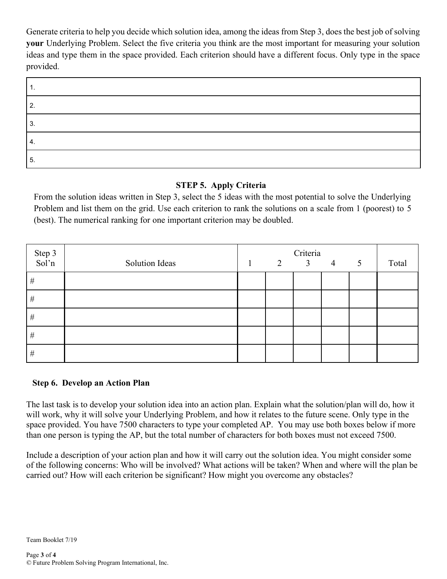Generate criteria to help you decide which solution idea, among the ideas from Step 3, does the best job of solving **your** Underlying Problem. Select the five criteria you think are the most important for measuring your solution ideas and type them in the space provided. Each criterion should have a different focus. Only type in the space provided.

| റ      |  |
|--------|--|
| ົ<br>◡ |  |
| 4.     |  |
| .ა     |  |

### **STEP 5. Apply Criteria**

From the solution ideas written in Step 3, select the 5 ideas with the most potential to solve the Underlying Problem and list them on the grid. Use each criterion to rank the solutions on a scale from 1 (poorest) to 5 (best). The numerical ranking for one important criterion may be doubled.

| Step 3<br>Sol'n | <b>Solution Ideas</b> | 2 | Criteria<br>3 <sup>7</sup> | $\overline{4}$ | 5 | Total |
|-----------------|-----------------------|---|----------------------------|----------------|---|-------|
| $\#$            |                       |   |                            |                |   |       |
| $\#$            |                       |   |                            |                |   |       |
| $\#$            |                       |   |                            |                |   |       |
| $\#$            |                       |   |                            |                |   |       |
| $\#$            |                       |   |                            |                |   |       |

### **Step 6. Develop an Action Plan**

The last task is to develop your solution idea into an action plan. Explain what the solution/plan will do, how it will work, why it will solve your Underlying Problem, and how it relates to the future scene. Only type in the space provided. You have 7500 characters to type your completed AP. You may use both boxes below if more than one person is typing the AP, but the total number of characters for both boxes must not exceed 7500.

Include a description of your action plan and how it will carry out the solution idea. You might consider some of the following concerns: Who will be involved? What actions will be taken? When and where will the plan be carried out? How will each criterion be significant? How might you overcome any obstacles?